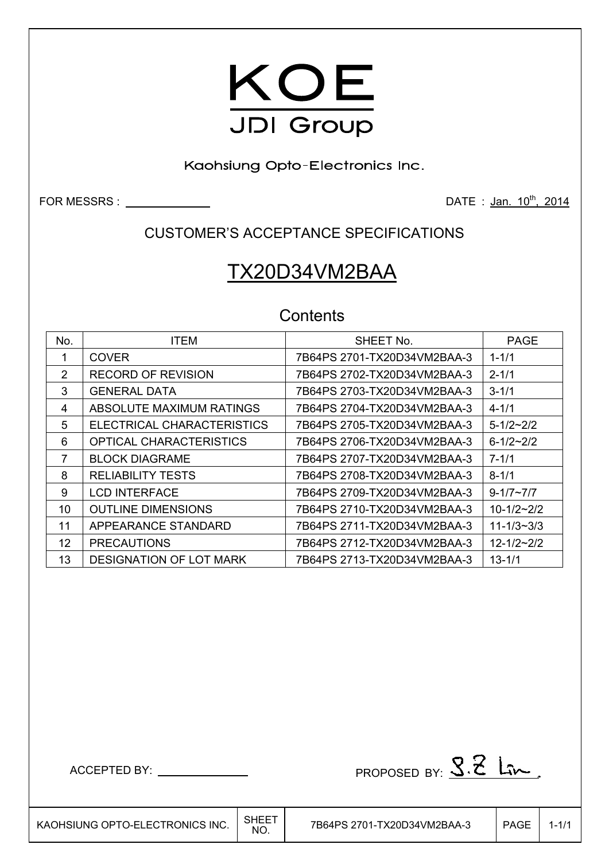

Kaohsiung Opto-Electronics Inc.

FOR MESSRS : DATE : Jan. 10th, 2014

## CUSTOMER'S ACCEPTANCE SPECIFICATIONS

# TX20D34VM2BAA

## **Contents**

| No. | <b>ITEM</b>                    | SHEET No.                   | <b>PAGE</b>        |
|-----|--------------------------------|-----------------------------|--------------------|
|     | <b>COVER</b>                   | 7B64PS 2701-TX20D34VM2BAA-3 | $1 - 1/1$          |
| 2   | <b>RECORD OF REVISION</b>      | 7B64PS 2702-TX20D34VM2BAA-3 | $2 - 1/1$          |
| 3   | <b>GENERAL DATA</b>            | 7B64PS 2703-TX20D34VM2BAA-3 | $3 - 1/1$          |
| 4   | ABSOLUTE MAXIMUM RATINGS       | 7B64PS 2704-TX20D34VM2BAA-3 | $4 - 1/1$          |
| 5   | ELECTRICAL CHARACTERISTICS     | 7B64PS 2705-TX20D34VM2BAA-3 | $5 - 1/2 - 2/2$    |
| 6   | <b>OPTICAL CHARACTERISTICS</b> | 7B64PS 2706-TX20D34VM2BAA-3 | $6 - 1/2 \sim 2/2$ |
| 7   | <b>BLOCK DIAGRAME</b>          | 7B64PS 2707-TX20D34VM2BAA-3 | $7 - 1/1$          |
| 8   | <b>RELIABILITY TESTS</b>       | 7B64PS 2708-TX20D34VM2BAA-3 | $8 - 1/1$          |
| 9   | <b>LCD INTERFACE</b>           | 7B64PS 2709-TX20D34VM2BAA-3 | $9 - 1/7 - 7/7$    |
| 10  | <b>OUTLINE DIMENSIONS</b>      | 7B64PS 2710-TX20D34VM2BAA-3 | $10-1/2-2/2$       |
| 11  | APPEARANCE STANDARD            | 7B64PS 2711-TX20D34VM2BAA-3 | $11 - 1/3 - 3/3$   |
| 12  | <b>PRECAUTIONS</b>             | 7B64PS 2712-TX20D34VM2BAA-3 | $12 - 1/2 - 2/2$   |
| 13  | <b>DESIGNATION OF LOT MARK</b> | 7B64PS 2713-TX20D34VM2BAA-3 | $13 - 1/1$         |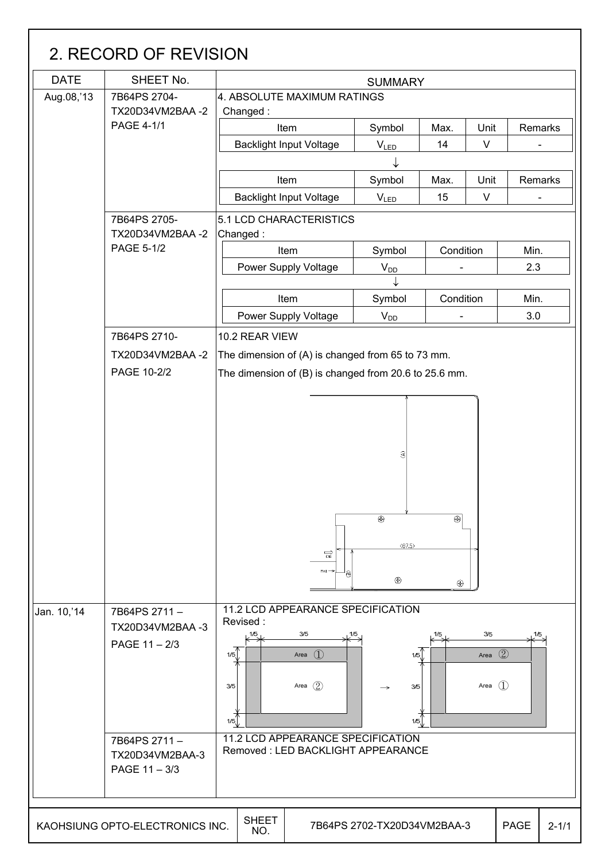| <b>DATE</b> | SHEET No.                       | <b>SUMMARY</b>                                        |                             |                          |            |         |  |  |  |  |  |  |
|-------------|---------------------------------|-------------------------------------------------------|-----------------------------|--------------------------|------------|---------|--|--|--|--|--|--|
| Aug.08,'13  | 7B64PS 2704-<br>TX20D34VM2BAA-2 | 4. ABSOLUTE MAXIMUM RATINGS<br>Changed:               |                             |                          |            |         |  |  |  |  |  |  |
|             | <b>PAGE 4-1/1</b>               | Item                                                  | Symbol                      | Max.                     | Unit       | Remarks |  |  |  |  |  |  |
|             |                                 | <b>Backlight Input Voltage</b>                        | $V_{LED}$                   | 14                       | $\vee$     |         |  |  |  |  |  |  |
|             |                                 |                                                       |                             |                          |            |         |  |  |  |  |  |  |
|             |                                 | Item                                                  | Symbol                      | Max.                     | Unit       | Remarks |  |  |  |  |  |  |
|             |                                 | <b>Backlight Input Voltage</b>                        | $V_{LED}$                   | 15                       | $\vee$     |         |  |  |  |  |  |  |
|             | 7B64PS 2705-<br>TX20D34VM2BAA-2 | 5.1 LCD CHARACTERISTICS<br>Changed:                   |                             |                          |            |         |  |  |  |  |  |  |
|             | PAGE 5-1/2                      | Item                                                  | Symbol                      | Condition                |            | Min.    |  |  |  |  |  |  |
|             |                                 | Power Supply Voltage                                  | $V_{DD}$                    | $\blacksquare$           |            | 2.3     |  |  |  |  |  |  |
|             |                                 |                                                       |                             |                          |            |         |  |  |  |  |  |  |
|             |                                 | Item                                                  | Symbol                      | Condition                |            | Min.    |  |  |  |  |  |  |
|             |                                 | <b>Power Supply Voltage</b>                           | $V_{DD}$                    | $\overline{\phantom{a}}$ |            | 3.0     |  |  |  |  |  |  |
|             | 7B64PS 2710-                    | 10.2 REAR VIEW                                        |                             |                          |            |         |  |  |  |  |  |  |
|             | TX20D34VM2BAA-2                 | The dimension of (A) is changed from 65 to 73 mm.     |                             |                          |            |         |  |  |  |  |  |  |
|             | PAGE 10-2/2                     | The dimension of (B) is changed from 20.6 to 25.6 mm. |                             |                          |            |         |  |  |  |  |  |  |
|             |                                 |                                                       |                             |                          |            |         |  |  |  |  |  |  |
|             |                                 |                                                       |                             |                          |            |         |  |  |  |  |  |  |
|             |                                 |                                                       |                             |                          |            |         |  |  |  |  |  |  |
|             |                                 |                                                       |                             |                          |            |         |  |  |  |  |  |  |
|             |                                 |                                                       | $\widehat{\mathcal{A}}$     |                          |            |         |  |  |  |  |  |  |
|             |                                 |                                                       |                             |                          |            |         |  |  |  |  |  |  |
|             |                                 |                                                       |                             |                          |            |         |  |  |  |  |  |  |
|             |                                 |                                                       | ⊕                           | இ                        |            |         |  |  |  |  |  |  |
|             |                                 |                                                       |                             |                          |            |         |  |  |  |  |  |  |
|             |                                 |                                                       | (87.5)                      |                          |            |         |  |  |  |  |  |  |
|             |                                 | $\overrightarrow{cm}$<br>$Pin1 -$                     |                             |                          |            |         |  |  |  |  |  |  |
|             |                                 |                                                       | ⊕                           | ⊕                        |            |         |  |  |  |  |  |  |
|             |                                 |                                                       |                             |                          |            |         |  |  |  |  |  |  |
| Jan. 10,'14 | 7B64PS 2711-                    | 11.2 LCD APPEARANCE SPECIFICATION<br>Revised:         |                             |                          |            |         |  |  |  |  |  |  |
|             | TX20D34VM2BAA -3                | 3/5<br>1/5                                            | 1/5                         |                          | 3/5        | 1/5     |  |  |  |  |  |  |
|             | PAGE 11-2/3                     | Area $(2)$<br>Area $(1)$<br>1/5<br>1/5                |                             |                          |            |         |  |  |  |  |  |  |
|             |                                 |                                                       |                             |                          |            |         |  |  |  |  |  |  |
|             |                                 |                                                       |                             |                          |            |         |  |  |  |  |  |  |
|             |                                 | Area $(2)$<br>3/5                                     | 3/5<br>$\rightarrow$        |                          | Area $(1)$ |         |  |  |  |  |  |  |
|             |                                 |                                                       |                             |                          |            |         |  |  |  |  |  |  |
|             |                                 | 1/5                                                   | 1/5                         |                          |            |         |  |  |  |  |  |  |
|             |                                 | 11.2 LCD APPEARANCE SPECIFICATION                     |                             |                          |            |         |  |  |  |  |  |  |
|             | 7B64PS 2711-<br>TX20D34VM2BAA-3 | Removed: LED BACKLIGHT APPEARANCE                     |                             |                          |            |         |  |  |  |  |  |  |
|             | PAGE 11 - 3/3                   |                                                       |                             |                          |            |         |  |  |  |  |  |  |
|             |                                 |                                                       |                             |                          |            |         |  |  |  |  |  |  |
|             |                                 | <b>SHEET</b>                                          | 7B64PS 2702-TX20D34VM2BAA-3 |                          |            |         |  |  |  |  |  |  |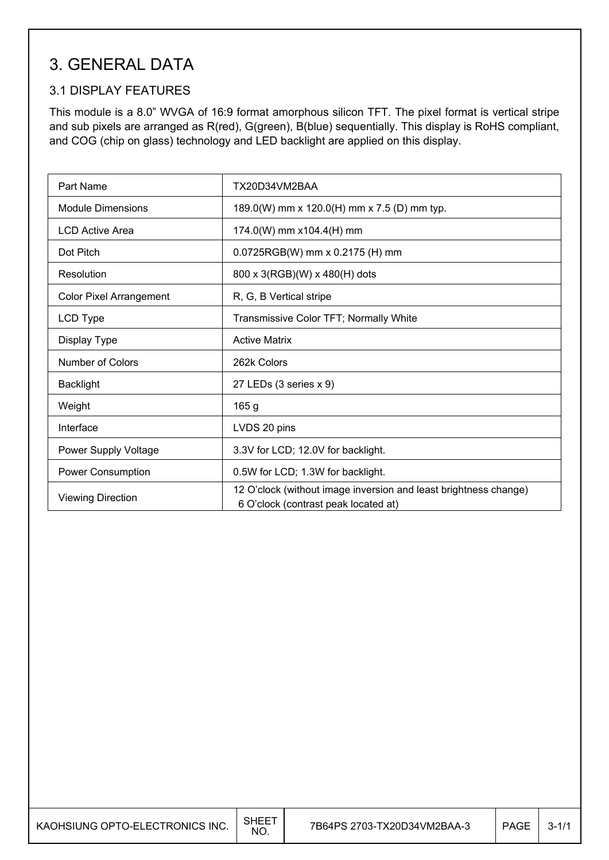# 3. GENERAL DATA

### 3.1 DISPLAY FEATURES

This module is a 8.0" WVGA of 16:9 format amorphous silicon TFT. The pixel format is vertical stripe and sub pixels are arranged as R(red), G(green), B(blue) sequentially. This display is RoHS compliant, and COG (chip on glass) technology and LED backlight are applied on this display.

| Part Name                      | TX20D34VM2BAA                                                                                            |
|--------------------------------|----------------------------------------------------------------------------------------------------------|
| <b>Module Dimensions</b>       | 189.0(W) mm x 120.0(H) mm x 7.5 (D) mm typ.                                                              |
| LCD Active Area                | 174.0(W) mm x104.4(H) mm                                                                                 |
| Dot Pitch                      | 0.0725RGB(W) mm x 0.2175 (H) mm                                                                          |
| Resolution                     | 800 x 3(RGB)(W) x 480(H) dots                                                                            |
| <b>Color Pixel Arrangement</b> | R, G, B Vertical stripe                                                                                  |
| LCD Type                       | Transmissive Color TFT; Normally White                                                                   |
| Display Type                   | <b>Active Matrix</b>                                                                                     |
| <b>Number of Colors</b>        | 262k Colors                                                                                              |
| <b>Backlight</b>               | 27 LEDs (3 series x 9)                                                                                   |
| Weight                         | 165 g                                                                                                    |
| Interface                      | LVDS 20 pins                                                                                             |
| Power Supply Voltage           | 3.3V for LCD; 12.0V for backlight.                                                                       |
| <b>Power Consumption</b>       | 0.5W for LCD; 1.3W for backlight.                                                                        |
| <b>Viewing Direction</b>       | 12 O'clock (without image inversion and least brightness change)<br>6 O'clock (contrast peak located at) |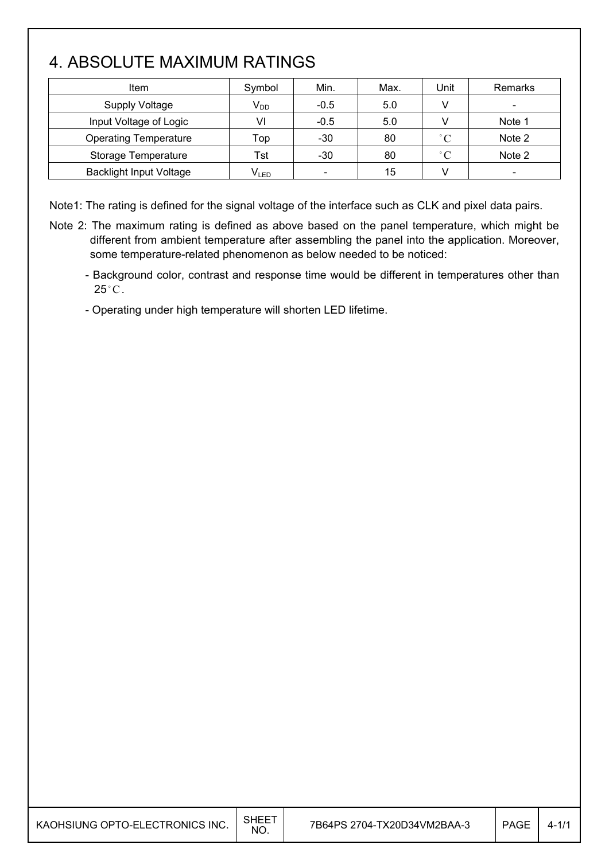# 4. ABSOLUTE MAXIMUM RATINGS

| Item                           | Symbol    | Min.                     | Max. | Unit         | Remarks                  |
|--------------------------------|-----------|--------------------------|------|--------------|--------------------------|
| <b>Supply Voltage</b>          | $V_{DD}$  | $-0.5$                   | 5.0  |              |                          |
| Input Voltage of Logic         | VI        | $-0.5$                   | 5.0  |              | Note 1                   |
| <b>Operating Temperature</b>   | Top       | $-30$                    | 80   | $^{\circ}$ C | Note 2                   |
| Storage Temperature            | Tst       | $-30$                    | 80   | $^{\circ}$ C | Note 2                   |
| <b>Backlight Input Voltage</b> | $V_{LED}$ | $\overline{\phantom{a}}$ | 15   | v            | $\overline{\phantom{a}}$ |

Note1: The rating is defined for the signal voltage of the interface such as CLK and pixel data pairs.

- Note 2: The maximum rating is defined as above based on the panel temperature, which might be different from ambient temperature after assembling the panel into the application. Moreover, some temperature-related phenomenon as below needed to be noticed:
	- Background color, contrast and response time would be different in temperatures other than  $25^{\circ}$ C.
	- Operating under high temperature will shorten LED lifetime.

| KAOHSIUNG OPTO-ELECTRONICS INC. | SHEE <sup>.</sup><br>NO. | 7B64PS 2704-TX20D34VM2BAA-3 | <b>PAGE</b> |  |
|---------------------------------|--------------------------|-----------------------------|-------------|--|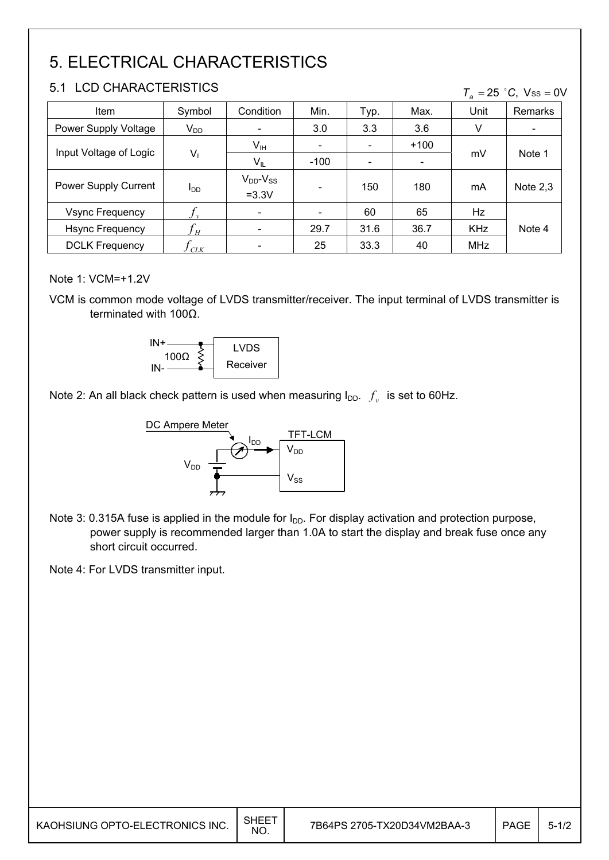# 5. ELECTRICAL CHARACTERISTICS

#### 5.1 LCD CHARACTERISTICS

| 5.1<br>- LUD UHARAUTERISTIUS<br>$T_a = 25$ °C, Vss = 0V |                        |                                |                          |                          |        |            |            |
|---------------------------------------------------------|------------------------|--------------------------------|--------------------------|--------------------------|--------|------------|------------|
| Item                                                    | Symbol                 | Condition                      | Min.                     | Typ.                     | Max.   | Unit       | Remarks    |
| Power Supply Voltage                                    | $V_{DD}$               | $\overline{\phantom{a}}$       | 3.0                      | 3.3                      | 3.6    | V          |            |
| Input Voltage of Logic                                  |                        | $V_{\text{IH}}$                | $\overline{\phantom{0}}$ | $\overline{\phantom{a}}$ | $+100$ |            | Note 1     |
|                                                         | $V_1$                  | $V_{IL}$                       | $-100$                   |                          |        | mV         |            |
| Power Supply Current                                    | <b>I</b> <sub>DD</sub> | $V_{DD}$ - $V_{SS}$<br>$=3.3V$ |                          | 150                      | 180    | mA         | Note $2,3$ |
| <b>Vsync Frequency</b>                                  |                        | $\overline{\phantom{a}}$       |                          | 60                       | 65     | Hz         |            |
| <b>Hsync Frequency</b>                                  | $J_H$                  | $\overline{\phantom{a}}$       | 29.7                     | 31.6                     | 36.7   | <b>KHz</b> | Note 4     |
| <b>DCLK Frequency</b>                                   | CLK                    | $\overline{\phantom{a}}$       | 25                       | 33.3                     | 40     | <b>MHz</b> |            |

#### Note 1: VCM=+1.2V

VCM is common mode voltage of LVDS transmitter/receiver. The input terminal of LVDS transmitter is terminated with  $100\Omega$ .



Note 2: An all black check pattern is used when measuring  $I_{DD}$ .  $f_v$  is set to 60Hz.



Note 3: 0.315A fuse is applied in the module for  $I_{DD}$ . For display activation and protection purpose, power supply is recommended larger than 1.0A to start the display and break fuse once any short circuit occurred.

Note 4: For LVDS transmitter input.

| KAOHSIUNG OPTO-ELECTRONICS INC. | <b>SHEET</b><br><b>NO</b> | 7B64PS 2705-TX20D34VM2BAA-3 | <b>PAGE</b> | $5 - 17$ |
|---------------------------------|---------------------------|-----------------------------|-------------|----------|
|                                 |                           |                             |             |          |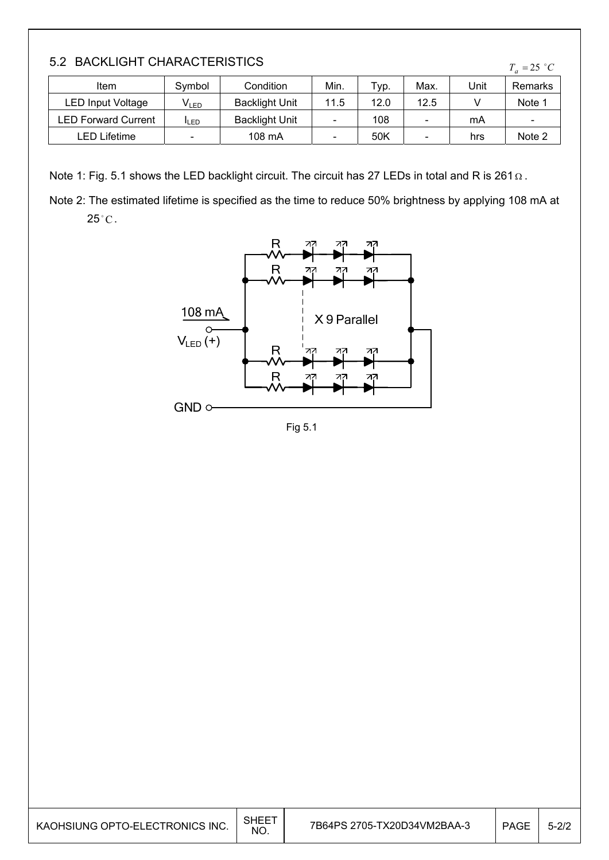| 5.2 BACKLIGHT CHARACTERISTICS |  |
|-------------------------------|--|
|-------------------------------|--|

| <b>U. A DAVNEIUI II VIIANAVIENDIIVU</b><br>$T_a = 25$ °C |                  |                       |                          |      |                          |      |                              |
|----------------------------------------------------------|------------------|-----------------------|--------------------------|------|--------------------------|------|------------------------------|
| Item                                                     | Symbol           | Condition             | Min.                     | Typ. | Max.                     | Unit | Remarks                      |
| <b>LED Input Voltage</b>                                 | V <sub>led</sub> | <b>Backlight Unit</b> | 11.5                     | 12.0 | 12.5                     |      | Note 1                       |
| <b>LED Forward Current</b>                               | <b>ILED</b>      | <b>Backlight Unit</b> | $\overline{\phantom{0}}$ | 108  |                          | mA   | $\qquad \qquad \blacksquare$ |
| <b>LED Lifetime</b>                                      | $\sim$           | 108 mA                | $\overline{\phantom{0}}$ | 50K  | $\overline{\phantom{0}}$ | hrs  | Note 2                       |

Note 1: Fig. 5.1 shows the LED backlight circuit. The circuit has 27 LEDs in total and R is 261  $\Omega$ .

Note 2: The estimated lifetime is specified as the time to reduce 50% brightness by applying 108 mA at  $25^{\circ}$ C.



Fig 5.1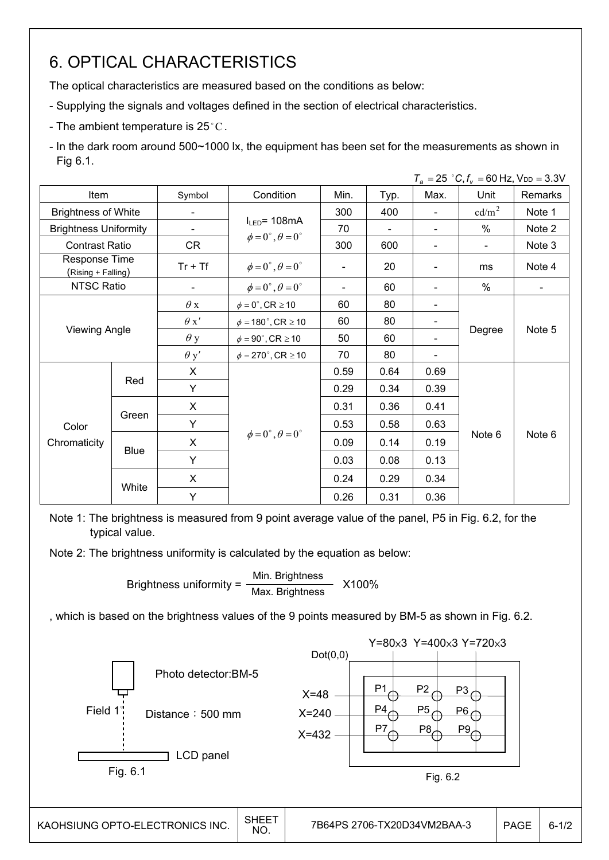# 6. OPTICAL CHARACTERISTICS

The optical characteristics are measured based on the conditions as below:

- Supplying the signals and voltages defined in the section of electrical characteristics.
- The ambient temperature is 25 °C.

- In the dark room around 500~1000 lx, the equipment has been set for the measurements as shown in Fig 6.1.

|                                     |                      |             |                                       |      |                |      | $T_a = 25$ °C, $f_v = 60$ Hz, $V_{DD} = 3.3$ V |         |
|-------------------------------------|----------------------|-------------|---------------------------------------|------|----------------|------|------------------------------------------------|---------|
| Item                                |                      | Symbol      | Condition                             | Min. | Typ.           | Max. | Unit                                           | Remarks |
| <b>Brightness of White</b>          |                      |             |                                       | 300  | 400            |      | cd/m <sup>2</sup>                              | Note 1  |
| <b>Brightness Uniformity</b>        |                      |             | $I_{LED}$ = 108mA                     | 70   | $\blacksquare$ |      | $\%$                                           | Note 2  |
| <b>Contrast Ratio</b>               |                      | CR          | $\phi = 0^\circ$ , $\theta = 0^\circ$ | 300  | 600            |      | $\blacksquare$                                 | Note 3  |
| Response Time<br>(Rising + Falling) |                      | $Tr + Tf$   | $\phi = 0^\circ$ , $\theta = 0^\circ$ |      | 20             |      | ms                                             | Note 4  |
| <b>NTSC Ratio</b>                   |                      |             | $\phi = 0^\circ$ , $\theta = 0^\circ$ |      | 60             |      | $\%$                                           |         |
|                                     |                      | $\theta$ x  | $\phi = 0^\circ$ , CR $\geq 10$       | 60   | 80             |      |                                                |         |
|                                     | <b>Viewing Angle</b> |             | $\phi = 180^\circ$ , CR $\geq 10$     | 60   | 80             |      |                                                | Note 5  |
|                                     |                      |             | $\phi = 90^\circ$ , CR $\geq 10$      | 50   | 60             |      | Degree                                         |         |
|                                     |                      | $\theta$ y' | $\phi = 270^\circ$ , CR $\geq 10$     | 70   | 80             |      |                                                |         |
|                                     |                      | X           |                                       | 0.59 | 0.64           | 0.69 |                                                | Note 6  |
|                                     | Red                  | Y           |                                       | 0.29 | 0.34           | 0.39 |                                                |         |
|                                     |                      | X           |                                       | 0.31 | 0.36           | 0.41 |                                                |         |
| Color                               | Green                | Y           |                                       | 0.53 | 0.58           | 0.63 |                                                |         |
| Chromaticity                        |                      | X           | $\phi = 0^\circ$ , $\theta = 0^\circ$ | 0.09 | 0.14           | 0.19 | Note 6                                         |         |
|                                     | <b>Blue</b>          | Y           |                                       | 0.03 | 0.08           | 0.13 |                                                |         |
|                                     |                      | X           |                                       | 0.24 | 0.29           | 0.34 |                                                |         |
|                                     | White                | Y           |                                       | 0.26 | 0.31           | 0.36 |                                                |         |

Note 1: The brightness is measured from 9 point average value of the panel, P5 in Fig. 6.2, for the typical value.

Note 2: The brightness uniformity is calculated by the equation as below:

Brightness uniformity =  $\frac{\text{Min.~Brightness}}{\text{Min.~Brightness}}$  X100% Max. Brightness

, which is based on the brightness values of the 9 points measured by BM-5 as shown in Fig. 6.2.

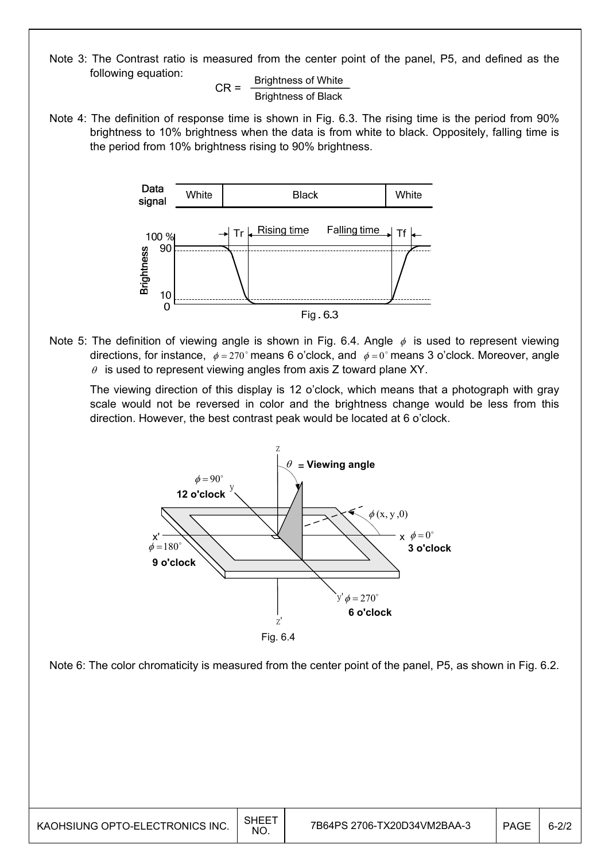Note 3: The Contrast ratio is measured from the center point of the panel, P5, and defined as the following equation:

 $CR =$  Brightness of White Brightness of Black

Note 4: The definition of response time is shown in Fig. 6.3. The rising time is the period from 90% brightness to 10% brightness when the data is from white to black. Oppositely, falling time is the period from 10% brightness rising to 90% brightness.



Note 5: The definition of viewing angle is shown in Fig. 6.4. Angle  $\phi$  is used to represent viewing directions, for instance,  $\phi = 270^\circ$  means 6 o'clock, and  $\phi = 0^\circ$  means 3 o'clock. Moreover, angle  $\theta$  is used to represent viewing angles from axis Z toward plane XY.

 The viewing direction of this display is 12 o'clock, which means that a photograph with gray scale would not be reversed in color and the brightness change would be less from this direction. However, the best contrast peak would be located at 6 o'clock.



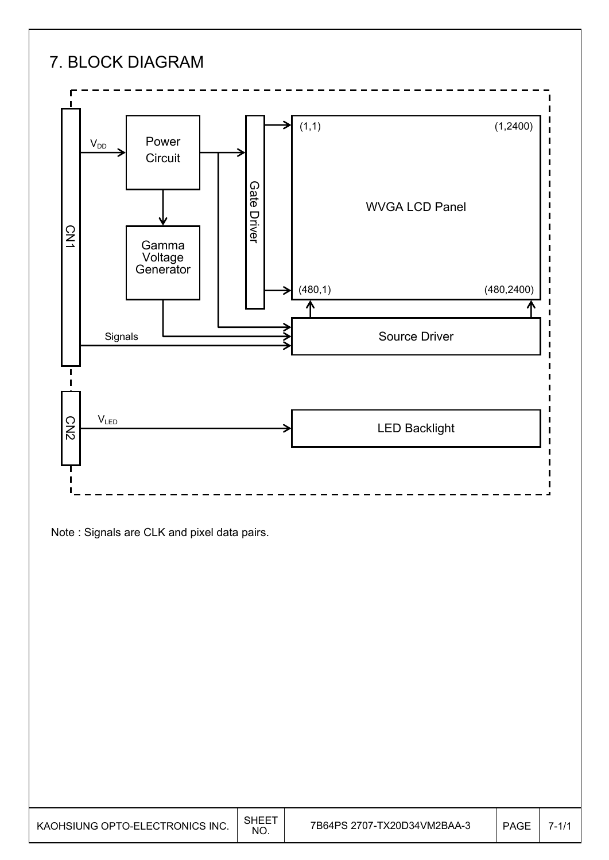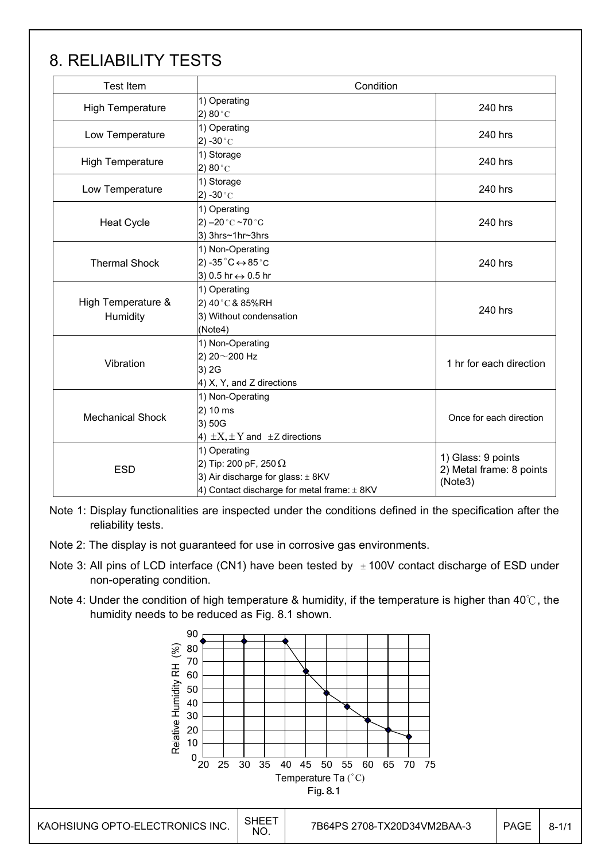# 8. RELIABILITY TESTS

| <b>Test Item</b>               | Condition                                                                                                                            |                                                           |  |
|--------------------------------|--------------------------------------------------------------------------------------------------------------------------------------|-----------------------------------------------------------|--|
| <b>High Temperature</b>        | 1) Operating<br>2) 80 $^{\circ}$ C                                                                                                   | 240 hrs                                                   |  |
| Low Temperature                | 1) Operating<br>2) -30 $^{\circ}$ C                                                                                                  | 240 hrs                                                   |  |
| <b>High Temperature</b>        | 1) Storage<br>2) 80 $^{\circ}$ C                                                                                                     | 240 hrs                                                   |  |
| Low Temperature                | 1) Storage<br>2) -30 $^{\circ}$ C                                                                                                    | 240 hrs                                                   |  |
| <b>Heat Cycle</b>              | 1) Operating<br>2) $-20$ °C $-70$ °C<br>3) 3hrs~1hr~3hrs                                                                             | 240 hrs                                                   |  |
| <b>Thermal Shock</b>           | 1) Non-Operating<br>2) -35 $^{\circ}$ C $\leftrightarrow$ 85 $^{\circ}$ C<br>3) 0.5 hr ↔ 0.5 hr                                      | 240 hrs                                                   |  |
| High Temperature &<br>Humidity | 1) Operating<br>2) 40°C & 85%RH<br>3) Without condensation<br>(Note4)                                                                | 240 hrs                                                   |  |
| Vibration                      | 1) Non-Operating<br>2) 20~200 Hz<br>3) 2G<br>4) X, Y, and Z directions                                                               | 1 hr for each direction                                   |  |
| <b>Mechanical Shock</b>        | 1) Non-Operating<br>2) 10 ms<br>3) 50G<br>4) $\pm X, \pm Y$ and $\pm Z$ directions                                                   | Once for each direction                                   |  |
| <b>ESD</b>                     | 1) Operating<br>2) Tip: 200 pF, 250 $\Omega$<br>3) Air discharge for glass: ± 8KV<br>4) Contact discharge for metal frame: $\pm$ 8KV | 1) Glass: 9 points<br>2) Metal frame: 8 points<br>(Note3) |  |

Note 1: Display functionalities are inspected under the conditions defined in the specification after the reliability tests.

- Note 2: The display is not guaranteed for use in corrosive gas environments.
- Note 3: All pins of LCD interface (CN1) have been tested by  $\pm$  100V contact discharge of ESD under non-operating condition.
- Note 4: Under the condition of high temperature & humidity, if the temperature is higher than 40 $\degree$ C, the humidity needs to be reduced as Fig. 8.1 shown.

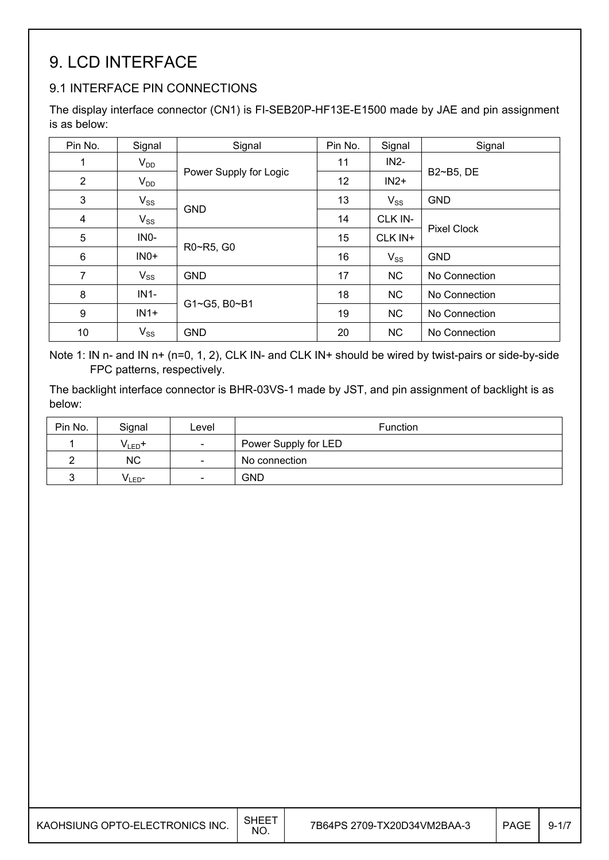# 9. LCD INTERFACE

## 9.1 INTERFACE PIN CONNECTIONS

The display interface connector (CN1) is FI-SEB20P-HF13E-E1500 made by JAE and pin assignment is as below:

| Pin No.        | Signal            | Signal                 | Pin No. | Signal    | Signal             |
|----------------|-------------------|------------------------|---------|-----------|--------------------|
| 1              | $V_{DD}$          |                        | 11      | $IN2-$    |                    |
| $\overline{2}$ | $V_{DD}$          | Power Supply for Logic | 12      | $IN2+$    | B2~B5, DE          |
| 3              | $V_{SS}$          |                        | 13      | $V_{SS}$  | <b>GND</b>         |
| $\overline{4}$ | $V_{SS}$          | <b>GND</b>             | 14      | CLK IN-   |                    |
| 5              | IN <sub>0</sub> - |                        | 15      | CLK IN+   | <b>Pixel Clock</b> |
| 6              | $INO+$            | R0~R5, G0              | 16      | $V_{SS}$  | <b>GND</b>         |
| $\overline{7}$ | $V_{SS}$          | <b>GND</b>             | 17      | <b>NC</b> | No Connection      |
| 8              | $IN1-$            |                        | 18      | <b>NC</b> | No Connection      |
| 9              | $IN1+$            | G1~G5, B0~B1           | 19      | <b>NC</b> | No Connection      |
| 10             | $V_{SS}$          | <b>GND</b>             | 20      | <b>NC</b> | No Connection      |

Note 1: IN n- and IN n+ (n=0, 1, 2), CLK IN- and CLK IN+ should be wired by twist-pairs or side-by-side FPC patterns, respectively.

The backlight interface connector is BHR-03VS-1 made by JST, and pin assignment of backlight is as below:

| Pin No. | Signal             | ∟evel                    | <b>Function</b>      |
|---------|--------------------|--------------------------|----------------------|
|         | $V_{LED}$ +        | $\qquad \qquad$          | Power Supply for LED |
|         | <b>NC</b>          | $\overline{\phantom{a}}$ | No connection        |
|         | V <sub>LED</sub> - | $\overline{\phantom{a}}$ | <b>GND</b>           |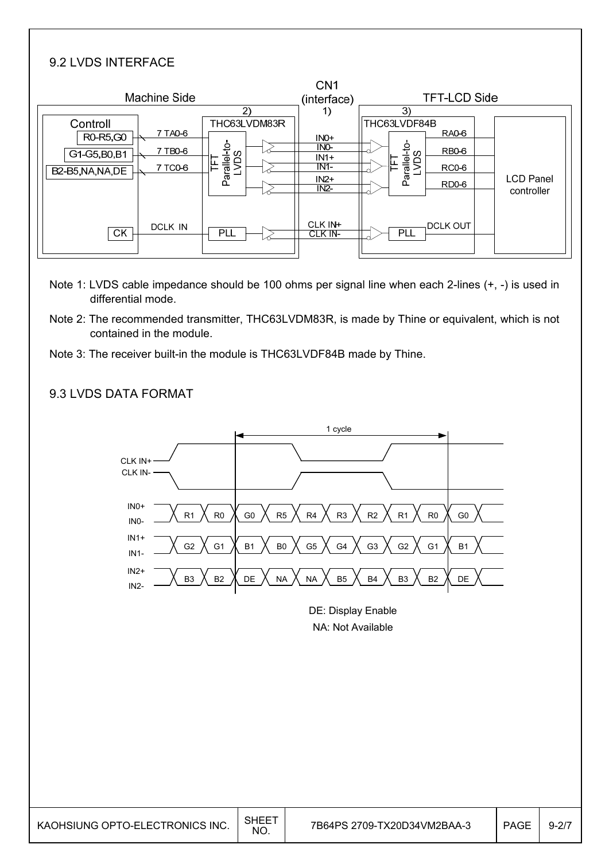#### 9.2 LVDS INTERFACE

| Machine Side                                                                                |                                                           | CN <sub>1</sub><br>(interface)                         | <b>TFT-LCD Side</b>                                                                                                            |
|---------------------------------------------------------------------------------------------|-----------------------------------------------------------|--------------------------------------------------------|--------------------------------------------------------------------------------------------------------------------------------|
| Controll<br>7 TA0-6<br>R0-R5,G0<br>7 TB0-6<br>G1-G5, B0, B1<br>7 TC0-6<br>B2-B5, NA, NA, DE | $\mathbf{2}$<br>THC63LVDM83R<br>Parallel-to-<br>LVDS<br>匡 | 1)<br>$INO+$<br>INO-<br>$IN1+$<br>IN1<br>$IN2+$<br>IN2 | 3)<br>THC63LVDF84B<br><b>RA0-6</b><br>Parallel-to-<br>LVDS<br><b>RB0-6</b><br>RC0-6<br><b>LCD Panel</b><br>RD0-6<br>controller |
| DCLK IN<br><b>CK</b>                                                                        | <b>PLL</b>                                                | CLK IN+<br>CLK IN-                                     | DCLK OUT<br><b>PLL</b>                                                                                                         |

- Note 1: LVDS cable impedance should be 100 ohms per signal line when each 2-lines (+, -) is used in differential mode.
- Note 2: The recommended transmitter, THC63LVDM83R, is made by Thine or equivalent, which is not contained in the module.
- Note 3: The receiver built-in the module is THC63LVDF84B made by Thine.

#### 9.3 LVDS DATA FORMAT



DE: Display Enable NA: Not Available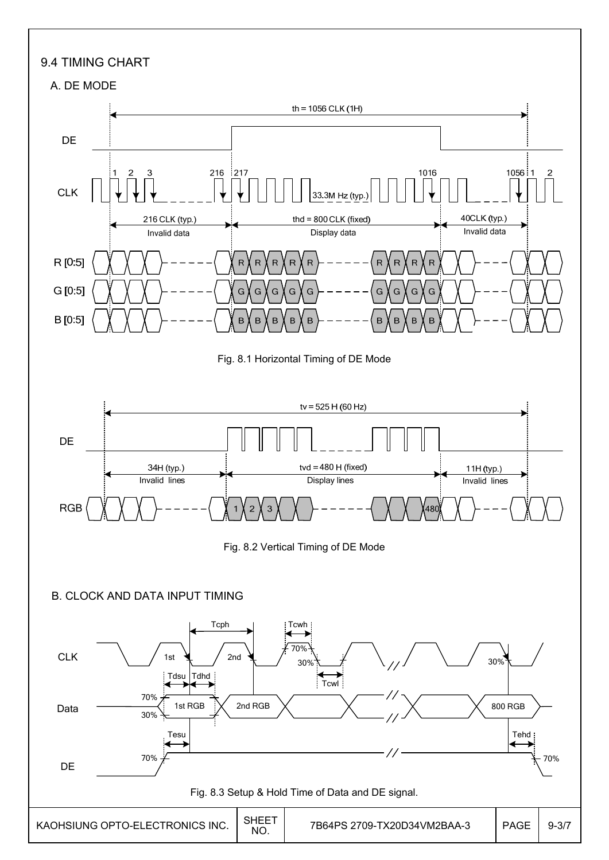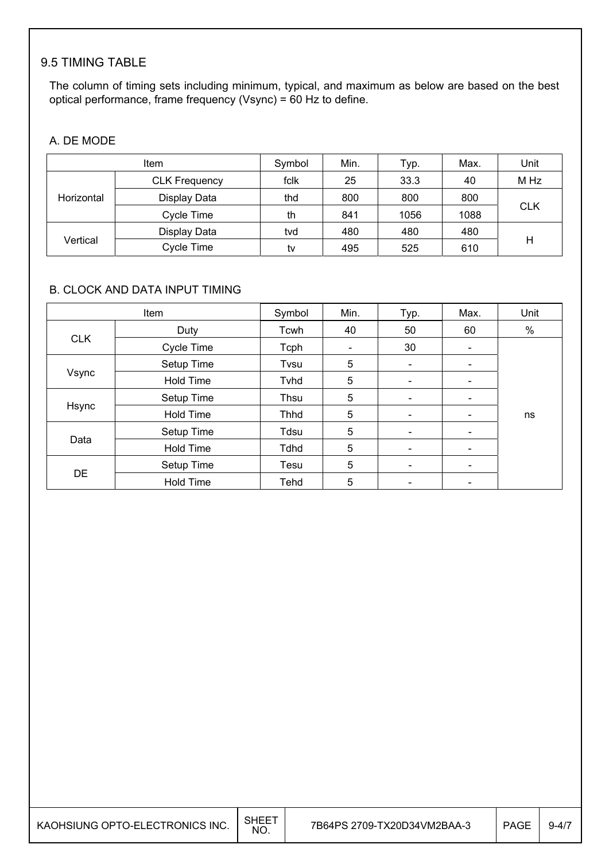### 9.5 TIMING TABLE

The column of timing sets including minimum, typical, and maximum as below are based on the best optical performance, frame frequency (Vsync) = 60 Hz to define.

#### A. DE MODE

| Item       |                      | Symbol | Min. | Typ. | Max. | Unit       |  |
|------------|----------------------|--------|------|------|------|------------|--|
|            | <b>CLK Frequency</b> | fclk   | 25   | 33.3 | 40   | M Hz       |  |
| Horizontal | Display Data         | thd    | 800  | 800  | 800  |            |  |
| Cycle Time |                      | th     | 841  | 1056 | 1088 | <b>CLK</b> |  |
|            | Display Data         | tvd    | 480  | 480  | 480  |            |  |
| Vertical   | Cycle Time           | tv     | 495  | 525  | 610  | Н          |  |

#### B. CLOCK AND DATA INPUT TIMING

| Item       |                  | Symbol      | Min. | Typ.                         | Max.                     | Unit |
|------------|------------------|-------------|------|------------------------------|--------------------------|------|
|            | Duty             | Tcwh        | 40   | 50                           | 60                       | %    |
| <b>CLK</b> | Cycle Time       | Tcph        |      | 30                           | -                        |      |
|            | Setup Time       | Tvsu        | 5    | $\overline{\phantom{a}}$     | -                        |      |
| Vsync      | <b>Hold Time</b> | Tvhd        | 5    | $\overline{\phantom{a}}$     | $\overline{\phantom{a}}$ |      |
|            | Setup Time       | Thsu        | 5    | $\overline{\phantom{a}}$     | -                        |      |
| Hsync      | <b>Hold Time</b> | Thhd        | 5    | $\qquad \qquad \blacksquare$ |                          | ns   |
|            | Setup Time       | Tdsu        | 5    | $\overline{\phantom{a}}$     | $\overline{\phantom{0}}$ |      |
| Data       | <b>Hold Time</b> | <b>Tdhd</b> | 5    | $\overline{\phantom{a}}$     | -                        |      |
|            | Setup Time       | Tesu        | 5    | $\qquad \qquad \blacksquare$ | $\overline{\phantom{0}}$ |      |
| <b>DE</b>  | <b>Hold Time</b> | Tehd        | 5    | $\overline{\phantom{a}}$     | $\overline{\phantom{a}}$ |      |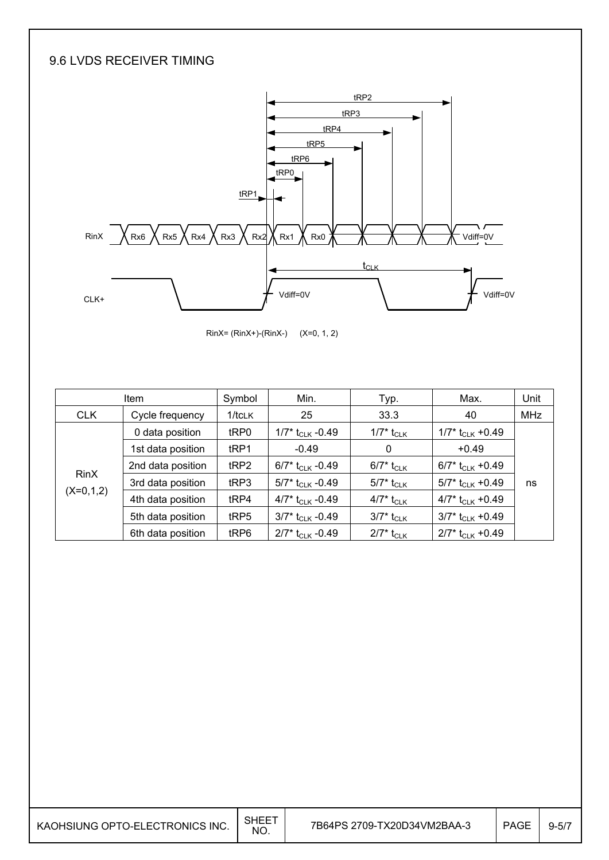### 9.6 LVDS RECEIVER TIMING



RinX= (RinX+)-(RinX-) (X=0, 1, 2)

|             | <b>Item</b>       | Symbol           | Min.                           | Typ.                     | Max.                           | Unit       |
|-------------|-------------------|------------------|--------------------------------|--------------------------|--------------------------------|------------|
| <b>CLK</b>  | Cycle frequency   | $1/t$ CLK        | 25                             | 33.3                     | 40                             | <b>MHz</b> |
|             | 0 data position   | tRP0             | 1/7* $t_{CLK}$ -0.49           | 1/7* t <sub>CLK</sub>    | $1/7$ * t <sub>CLK</sub> +0.49 |            |
|             | 1st data position | t <sub>RP1</sub> | $-0.49$                        | 0                        | $+0.49$                        |            |
|             | 2nd data position | tRP2             | 6/7* $t_{CLK}$ -0.49           | $6/7$ * t <sub>CLK</sub> | 6/7* $t_{CLK}$ +0.49           |            |
| <b>RinX</b> | 3rd data position | tRP3             | 5/7* $t_{CLK}$ -0.49           | $5/7$ * t <sub>CLK</sub> | 5/7* $t_{CLK}$ +0.49           | ns         |
| $(X=0,1,2)$ | 4th data position | tRP4             | 4/7* $t_{CLK}$ -0.49           | 4/7* t <sub>CLK</sub>    | 4/7* $t_{CLK}$ +0.49           |            |
|             | 5th data position | tRP5             | $3/7$ * t <sub>CLK</sub> -0.49 | $3/7^*$ t <sub>CLK</sub> | $3/7$ * t <sub>CLK</sub> +0.49 |            |
|             | 6th data position | tRP6             | $2/7$ * t <sub>CLK</sub> -0.49 | $2/7^*$ t <sub>CLK</sub> | $2/7$ * t <sub>CLK</sub> +0.49 |            |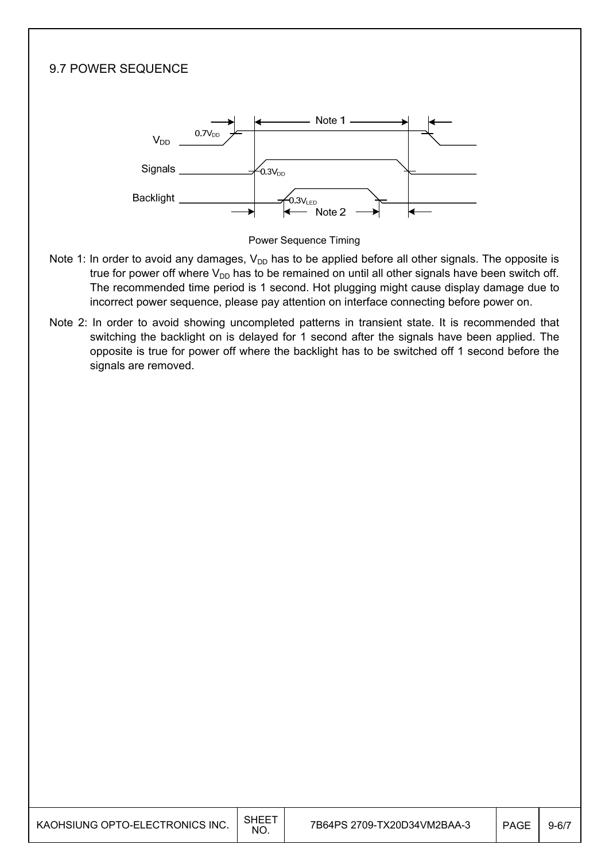# 9.7 POWER SEQUENCE Note 1  $0.7V_{\text{DE}}$  $V_{DD}$ Signals  $5.3V_{DD}$ **Backlight** -<br>0.3V<sub>LED</sub> Note 2



- Note 1: In order to avoid any damages,  $V_{DD}$  has to be applied before all other signals. The opposite is true for power off where  $V_{DD}$  has to be remained on until all other signals have been switch off. The recommended time period is 1 second. Hot plugging might cause display damage due to incorrect power sequence, please pay attention on interface connecting before power on.
- Note 2: In order to avoid showing uncompleted patterns in transient state. It is recommended that switching the backlight on is delayed for 1 second after the signals have been applied. The opposite is true for power off where the backlight has to be switched off 1 second before the signals are removed.

| KAOHSIUNG OPTO-ELECTRONICS INC. | <b>SHEET</b><br>NO. | 7B64PS 2709-TX20D34VM2BAA-3 | <b>PAGE</b> | $9 - 6/7$ |
|---------------------------------|---------------------|-----------------------------|-------------|-----------|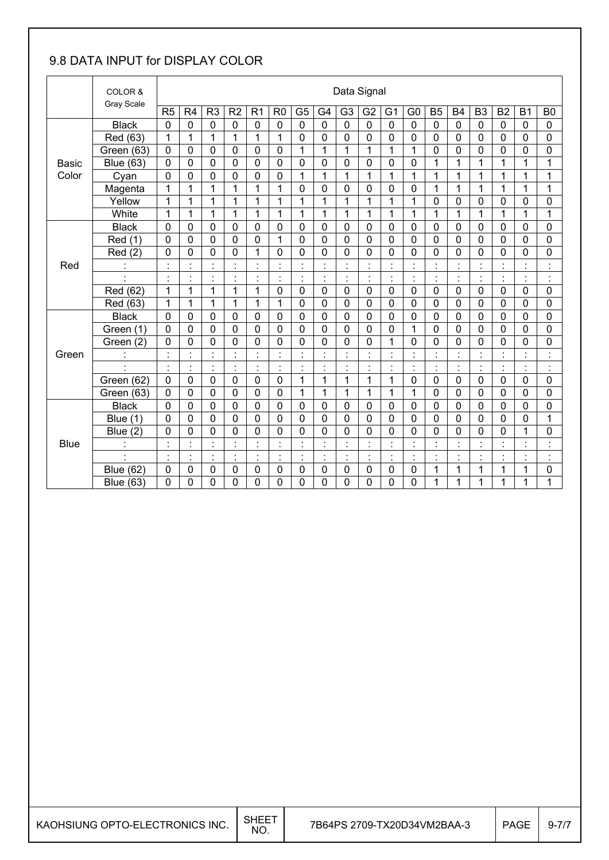## 9.8 DATA INPUT for DISPLAY COLOR

|              | COLOR &          |                | Data Signal          |                                            |                |                                  |                |                |                |                |                |                      |                                            |                      |                |                |                |                |                |
|--------------|------------------|----------------|----------------------|--------------------------------------------|----------------|----------------------------------|----------------|----------------|----------------|----------------|----------------|----------------------|--------------------------------------------|----------------------|----------------|----------------|----------------|----------------|----------------|
|              | Gray Scale       | R <sub>5</sub> | R <sub>4</sub>       | R <sub>3</sub>                             | R <sub>2</sub> | R <sub>1</sub>                   | R <sub>0</sub> | G <sub>5</sub> | G <sub>4</sub> | G <sub>3</sub> | G <sub>2</sub> | G <sub>1</sub>       | G <sub>0</sub>                             | <b>B5</b>            | <b>B4</b>      | B <sub>3</sub> | B <sub>2</sub> | <b>B1</b>      | B <sub>0</sub> |
|              | <b>Black</b>     | $\mathbf 0$    | $\mathbf 0$          | $\mathbf 0$                                | $\mathbf 0$    | $\mathbf 0$                      | $\mathbf 0$    | $\mathbf 0$    | $\overline{0}$ | $\mathbf 0$    | $\mathbf 0$    | $\mathbf 0$          | $\mathbf 0$                                | $\overline{0}$       | $\mathbf 0$    | $\mathbf 0$    | $\mathbf 0$    | $\overline{0}$ | $\mathbf 0$    |
|              | Red (63)         | 1              | 1                    | 1                                          | 1              | 1                                | 1              | 0              | 0              | 0              | 0              | 0                    | 0                                          | 0                    | $\mathbf 0$    | $\mathbf 0$    | $\mathbf 0$    | 0              | 0              |
|              | Green (63)       | $\mathbf 0$    | $\mathbf 0$          | $\mathbf 0$                                | $\mathbf 0$    | $\mathbf 0$                      | $\mathbf 0$    | $\mathbf{1}$   | $\mathbf{1}$   | 1              | 1              | 1                    | 1                                          | $\mathbf 0$          | 0              | $\mathbf 0$    | $\overline{0}$ | 0              | 0              |
| <b>Basic</b> | <b>Blue (63)</b> | 0              | $\mathbf 0$          | 0                                          | $\mathbf 0$    | $\mathbf 0$                      | $\mathbf 0$    | $\mathbf 0$    | $\mathbf 0$    | 0              | 0              | $\mathbf 0$          | 0                                          | 1                    | 1              | 1              | 1              | 1              | 1              |
| Color        | Cyan             | $\overline{0}$ | 0                    | $\mathbf 0$                                | $\mathbf 0$    | 0                                | $\mathbf 0$    | $\mathbf 1$    | $\mathbf{1}$   | 1              | 1              | 1                    | 1                                          | 1                    | 1              | 1              | $\mathbf 1$    | 1              | 1              |
|              | Magenta          | 1              | 1                    | 1                                          | 1              | 1                                | 1              | $\mathbf 0$    | $\mathbf 0$    | 0              | 0              | 0                    | 0                                          | 1                    | 1              | 1              | $\mathbf 1$    | 1              | 1              |
|              | Yellow           | 1              | 1                    | 1                                          | 1              | $\mathbf{1}$                     | 1              | $\mathbf{1}$   | $\mathbf{1}$   | 1              | $\mathbf{1}$   | 1                    | 1                                          | $\mathbf 0$          | 0              | $\mathbf 0$    | $\mathbf 0$    | 0              | 0              |
|              | White            | 1              | 1                    | 1                                          | 1              | 1                                | 1              | 1              | $\mathbf{1}$   | 1              | 1              | 1                    | 1                                          | 1                    | 1              | 1              | 1              | 1              | 1              |
|              | <b>Black</b>     | 0              | 0                    | 0                                          | 0              | 0                                | $\mathbf 0$    | $\mathbf 0$    | $\mathbf 0$    | 0              | 0              | 0                    | 0                                          | $\mathbf 0$          | $\mathbf 0$    | $\mathbf 0$    | $\mathbf 0$    | 0              | 0              |
|              | Red (1)          | $\mathbf 0$    | $\mathbf 0$          | $\mathbf 0$                                | $\Omega$       | 0                                | 1              | $\mathbf 0$    | $\mathbf 0$    | 0              | $\mathbf 0$    | 0                    | $\mathbf 0$                                | $\mathbf 0$          | $\mathbf 0$    | $\mathbf 0$    | $\overline{0}$ | 0              | 0              |
|              | Red(2)           | $\mathbf 0$    | 0                    | 0                                          | 0              | 1                                | 0              | 0              | $\mathbf 0$    | 0              | 0              | 0                    | 0                                          | 0                    | 0              | $\mathbf 0$    | $\mathbf 0$    | $\mathbf 0$    | 0              |
| Red          |                  | $\cdot$        |                      | $\cdot$                                    | $\cdot$        | $\cdot$                          |                | $\cdot$        | $\cdot$        |                | $\cdot$        |                      | $\blacksquare$<br>$\overline{\phantom{a}}$ | $\cdot$              |                |                |                | $\cdot$        | $\cdot$        |
|              |                  | $\ddot{\cdot}$ | Ì.                   | $\blacksquare$<br>$\overline{\phantom{a}}$ | $\cdot$<br>٠   | $\ddot{\cdot}$                   | $\blacksquare$ | $\ddot{\cdot}$ | $\ddot{\cdot}$ | Ì              | $\ddot{\cdot}$ | $\ddot{\cdot}$       | ÷                                          | $\ddot{\cdot}$       | $\cdot$        | $\blacksquare$ | ł,             | ÷,             | $\ddot{\cdot}$ |
|              | Red (62)         | 1              | 1                    | 1                                          | 1              | 1                                | $\mathbf 0$    | $\mathbf 0$    | $\mathbf 0$    | $\mathbf 0$    | 0              | $\mathbf 0$          | $\mathbf 0$                                | $\mathbf 0$          | $\mathbf 0$    | $\mathbf 0$    | $\mathbf 0$    | 0              | 0              |
|              | Red (63)         | 1              | 1                    | 1                                          | 1              | $\mathbf{1}$                     | 1              | $\overline{0}$ | $\mathbf 0$    | $\overline{0}$ | $\mathbf 0$    | 0                    | $\mathbf 0$                                | $\mathbf 0$          | $\overline{0}$ | $\mathbf 0$    | $\overline{0}$ | $\overline{0}$ | 0              |
|              | <b>Black</b>     | 0              | 0                    | 0                                          | $\mathbf 0$    | 0                                | 0              | 0              | $\mathbf 0$    | 0              | $\mathbf 0$    | 0                    | 0                                          | $\mathbf 0$          | $\mathbf 0$    | $\mathbf 0$    | $\mathbf 0$    | $\mathbf 0$    | 0              |
|              | Green (1)        | $\overline{0}$ | 0                    | $\mathbf 0$                                | $\mathbf 0$    | $\mathbf 0$                      | $\mathbf 0$    | $\mathbf 0$    | $\mathbf 0$    | $\overline{0}$ | $\mathbf 0$    | 0                    | $\mathbf{1}$                               | $\overline{0}$       | $\overline{0}$ | $\overline{0}$ | $\mathbf 0$    | $\overline{0}$ | 0              |
|              | Green (2)        | 0              | 0                    | $\mathbf 0$                                | $\mathbf 0$    | 0                                | $\mathbf 0$    | $\mathbf 0$    | $\mathbf 0$    | 0              | 0              | 1                    | 0                                          | $\mathbf 0$          | $\mathbf 0$    | $\mathbf 0$    | $\mathbf 0$    | 0              | 0              |
| Green        | $\ddot{\cdot}$   | $\cdot$        | $\ddot{\phantom{a}}$ | ł,                                         |                | $\ddot{\cdot}$                   |                | ÷,             | $\cdot$        |                | $\cdot$        |                      | $\ddot{\phantom{a}}$                       | $\blacksquare$<br>×, |                |                | $\blacksquare$ | $\blacksquare$ | $\ddot{\cdot}$ |
|              |                  | $\cdot$        | $\cdot$              | $\blacksquare$                             | $\cdot$        | $\blacksquare$<br>$\blacksquare$ | $\blacksquare$ | $\cdot$        | $\blacksquare$ | $\blacksquare$ | $\cdot$        | $\blacksquare$       | $\blacksquare$<br>$\ddot{\phantom{a}}$     | $\blacksquare$<br>٠  | $\cdot$        | $\blacksquare$ | $\blacksquare$ | $\blacksquare$ | $\cdot$<br>٠   |
|              | Green (62)       | $\mathbf 0$    | $\mathbf 0$          | $\mathbf 0$                                | $\mathbf 0$    | $\mathbf 0$                      | $\mathbf 0$    | 1              | $\mathbf{1}$   | 1              | $\mathbf{1}$   | 1                    | 0                                          | $\mathbf 0$          | $\mathbf 0$    | $\mathbf 0$    | $\overline{0}$ | 0              | 0              |
|              | Green (63)       | 0              | 0                    | $\mathbf 0$                                | $\mathbf 0$    | 0                                | $\mathbf 0$    | 1              | 1              | 1              | 1              | 1                    | 1                                          | $\mathbf 0$          | 0              | $\mathbf 0$    | $\overline{0}$ | 0              | 0              |
|              | <b>Black</b>     | 0              | 0                    | $\mathbf 0$                                | $\mathbf 0$    | $\mathbf 0$                      | $\mathbf 0$    | $\mathbf 0$    | $\mathbf 0$    | 0              | 0              | 0                    | 0                                          | $\mathbf 0$          | $\mathbf 0$    | $\mathbf 0$    | $\mathbf 0$    | 0              | 0              |
|              | Blue (1)         | $\overline{0}$ | $\overline{0}$       | $\mathbf 0$                                | $\mathbf 0$    | $\mathbf 0$                      | $\mathbf 0$    | $\mathbf 0$    | $\mathbf 0$    | $\overline{0}$ | $\overline{0}$ | 0                    | 0                                          | $\overline{0}$       | $\overline{0}$ | $\overline{0}$ | $\mathbf 0$    | $\overline{0}$ | $\mathbf{1}$   |
|              | Blue $(2)$       | 0              | 0                    | 0                                          | $\mathbf 0$    | 0                                | 0              | 0              | 0              | 0              | 0              | 0                    | 0                                          | 0                    | 0              | $\mathbf 0$    | 0              | 1              | 0              |
| <b>Blue</b>  | $\ddot{\cdot}$   | $\cdot$        | $\blacksquare$       | $\blacksquare$                             | $\cdot$        | $\ddot{\cdot}$                   | $\blacksquare$ | Ì.             | $\blacksquare$ | $\blacksquare$ | $\cdot$        | $\ddot{\phantom{0}}$ | $\blacksquare$<br>$\bullet$                | $\blacksquare$       | $\cdot$        | $\blacksquare$ | ł,             | $\blacksquare$ | $\cdot$<br>٠   |
|              | $\cdot$          | $\cdot$        | $\blacksquare$       | $\blacksquare$                             | $\cdot$        | $\blacksquare$<br>$\cdot$        | $\blacksquare$ | $\blacksquare$ | $\blacksquare$ | $\blacksquare$ | $\cdot$        | $\blacksquare$       | $\blacksquare$                             | $\blacksquare$       | $\cdot$        | $\blacksquare$ | $\blacksquare$ | $\cdot$        | $\blacksquare$ |
|              | <b>Blue (62)</b> | $\mathbf 0$    | 0                    | 0                                          | $\mathbf 0$    | 0                                | $\mathbf 0$    | 0              | $\mathbf 0$    | 0              | 0              | 0                    | 0                                          | 1                    | 1              | 1              | 1              | 1              | 0              |
|              | <b>Blue (63)</b> | 0              | 0                    | 0                                          | 0              | 0                                | 0              | 0              | 0              | 0              | 0              | 0                    | 0                                          | 1                    | 1              | 1              | 1              | 1              | $\mathbf{1}$   |

| KAOHSIUNG OPTO-ELECTRONICS INC. | <b>SHEET</b><br>NO. | 7B64PS 2709-TX20D34VM2BAA-3 | <b>PAGE</b> | 9-77 |
|---------------------------------|---------------------|-----------------------------|-------------|------|
|                                 |                     |                             |             |      |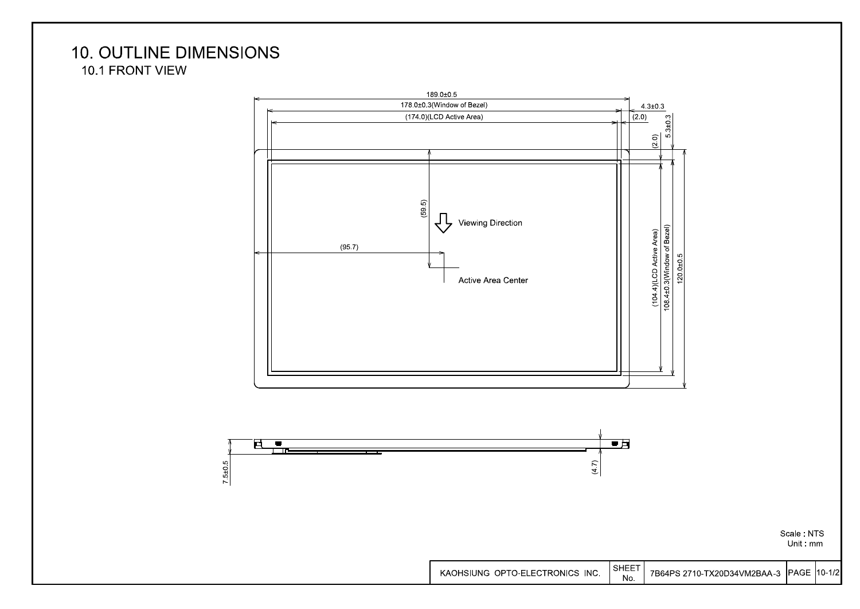## **10. OUTLINE DIMENSIONS** 10.1 FRONT VIEW





Scale: NTS Unit mm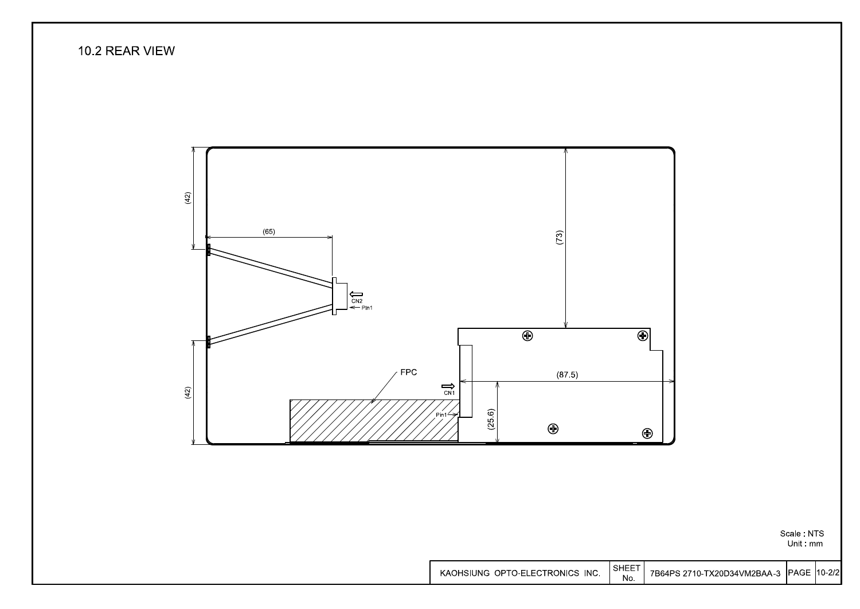#### 10.2 REAR VIEW



Scale: NTS Unit: mm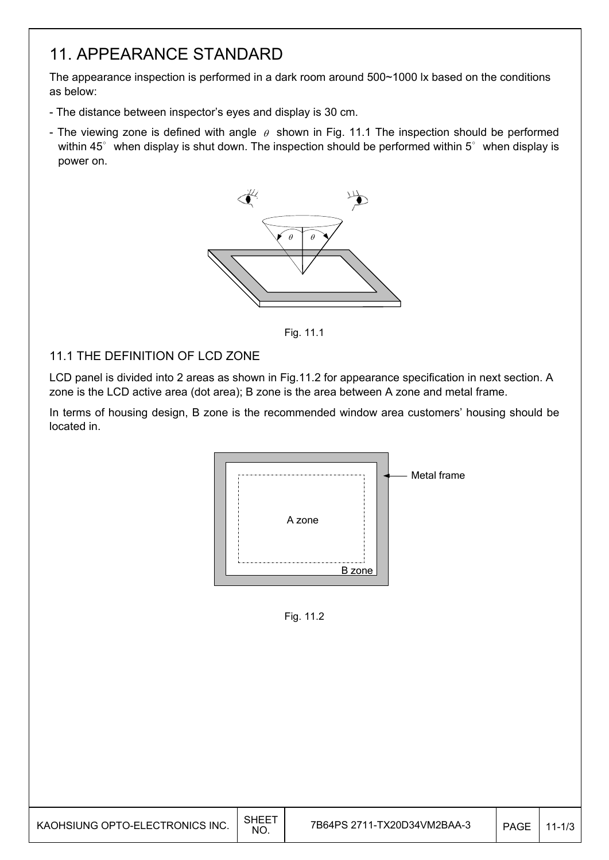# 11. APPEARANCE STANDARD

The appearance inspection is performed in a dark room around 500~1000 lx based on the conditions as below:

- The distance between inspector's eyes and display is 30 cm.
- The viewing zone is defined with angle  $\theta$  shown in Fig. 11.1 The inspection should be performed within 45 $^{\circ}$  when display is shut down. The inspection should be performed within 5 $^{\circ}$  when display is power on.



Fig. 11.1

#### 11.1 THE DEFINITION OF LCD ZONE

LCD panel is divided into 2 areas as shown in Fig.11.2 for appearance specification in next section. A zone is the LCD active area (dot area); B zone is the area between A zone and metal frame.

In terms of housing design, B zone is the recommended window area customers' housing should be located in.



Fig. 11.2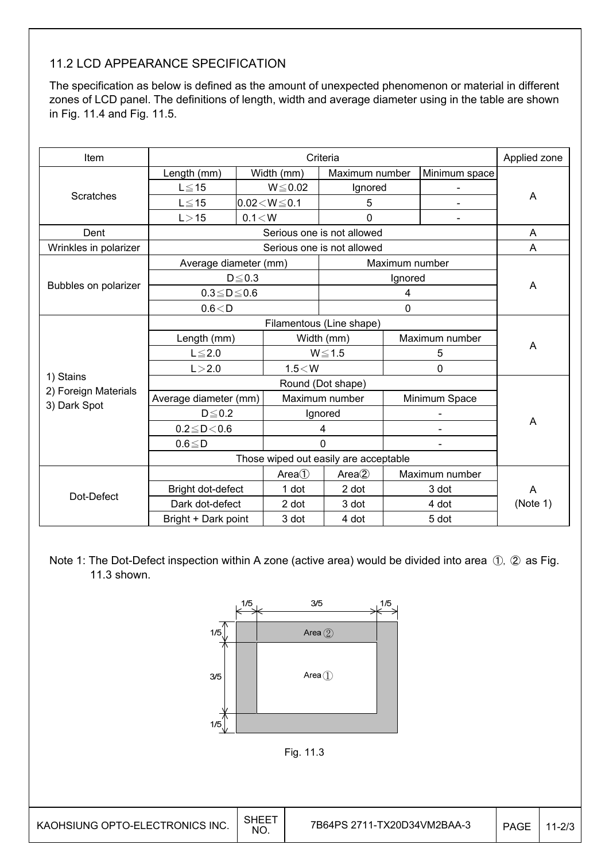### 11.2 LCD APPEARANCE SPECIFICATION

The specification as below is defined as the amount of unexpected phenomenon or material in different zones of LCD panel. The definitions of length, width and average diameter using in the table are shown in Fig. 11.4 and Fig. 11.5.

| Item                  |                                       |             |                    | Criteria                        |                |                | Applied zone |  |
|-----------------------|---------------------------------------|-------------|--------------------|---------------------------------|----------------|----------------|--------------|--|
|                       | Length (mm)                           |             | Width (mm)         | Maximum number                  |                | Minimum space  |              |  |
|                       | $L \le 15$                            |             | $W \le 0.02$       | Ignored                         |                |                |              |  |
| <b>Scratches</b>      | $L \leq 15$                           |             | $0.02 < W \le 0.1$ | 5                               |                |                | A            |  |
|                       | L > 15                                | 0.1 < W     |                    | 0                               |                | $\overline{a}$ |              |  |
| Dent                  |                                       |             |                    | Serious one is not allowed      |                |                | A            |  |
| Wrinkles in polarizer |                                       |             |                    | Serious one is not allowed      |                |                | A            |  |
|                       | Average diameter (mm)                 |             |                    |                                 | Maximum number |                |              |  |
|                       |                                       | $D \le 0.3$ |                    |                                 | Ignored        |                |              |  |
| Bubbles on polarizer  | $0.3 \le D \le 0.6$                   |             |                    | 4                               |                | A              |              |  |
|                       | 0.6 < D                               |             |                    | 0                               |                |                |              |  |
|                       |                                       |             |                    |                                 |                |                |              |  |
|                       | Length (mm)                           |             | Width (mm)         |                                 | Maximum number |                |              |  |
|                       | $L \leq 2.0$                          |             |                    | $W \le 1.5$                     |                | 5              | A            |  |
|                       | L > 2.0                               |             | $1.5<$ W           |                                 |                | $\mathbf 0$    |              |  |
| 1) Stains             |                                       |             |                    |                                 |                |                |              |  |
| 2) Foreign Materials  | Average diameter (mm)                 |             |                    | Maximum number<br>Minimum Space |                |                |              |  |
| 3) Dark Spot          | $D \leq 0.2$                          |             |                    | Ignored                         |                |                |              |  |
|                       | $0.2 \le D < 0.6$                     |             |                    | 4                               |                |                | A            |  |
|                       | $0.6 \leq D$                          |             |                    | $\Omega$                        |                |                |              |  |
|                       | Those wiped out easily are acceptable |             |                    |                                 |                |                |              |  |
|                       |                                       |             | Area()             | Area(2)                         |                | Maximum number |              |  |
|                       | Bright dot-defect                     |             | 1 dot              | 2 dot                           |                | 3 dot          | A            |  |
| Dot-Defect            | Dark dot-defect                       |             | 2 dot              | 3 dot                           |                | 4 dot          | (Note 1)     |  |
|                       | Bright + Dark point                   |             | 3 dot              | 4 dot                           |                | 5 dot          |              |  |

Note 1: The Dot-Defect inspection within A zone (active area) would be divided into area ①, ② as Fig. 11.3 shown.

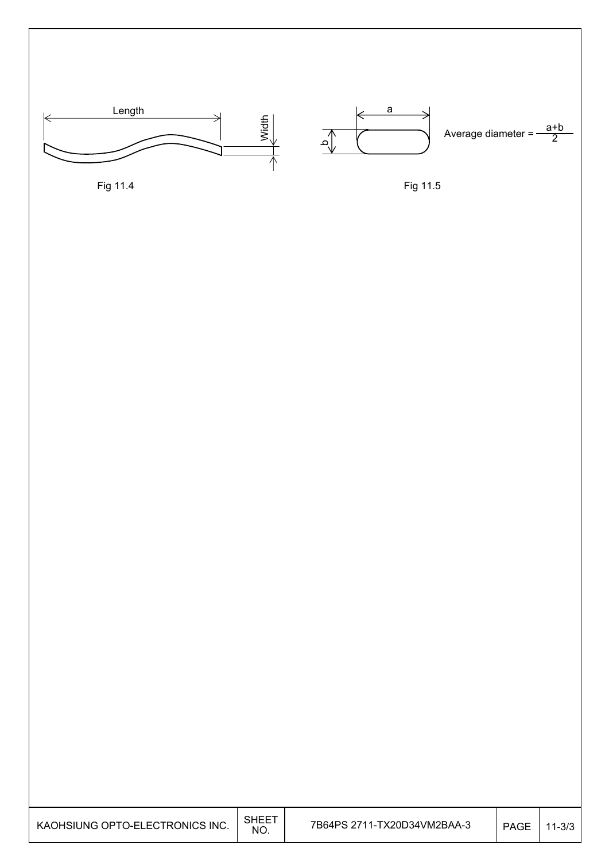

Fig 11.4

Fig 11.5

| KAOHSIUNG OPTO-ELECTRONICS INC. | <b>SHEET</b><br>NO. | 7B64PS 2711-TX20D34VM2BAA-3 | <b>PAGE</b> | $11 - 3/3$ |
|---------------------------------|---------------------|-----------------------------|-------------|------------|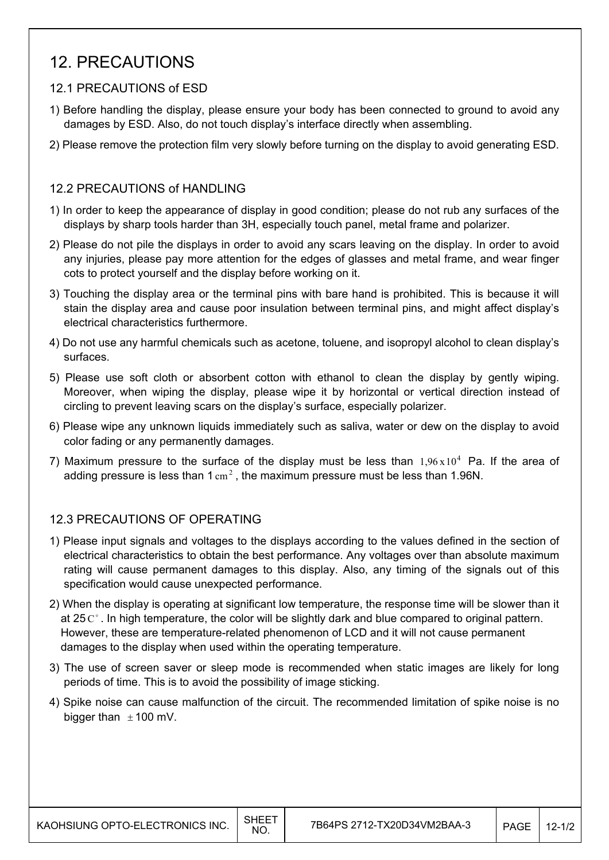## 12. PRECAUTIONS

#### 12.1 PRECAUTIONS of ESD

- 1) Before handling the display, please ensure your body has been connected to ground to avoid any damages by ESD. Also, do not touch display's interface directly when assembling.
- 2) Please remove the protection film very slowly before turning on the display to avoid generating ESD.

#### 12.2 PRECAUTIONS of HANDLING

- 1) In order to keep the appearance of display in good condition; please do not rub any surfaces of the displays by sharp tools harder than 3H, especially touch panel, metal frame and polarizer.
- 2) Please do not pile the displays in order to avoid any scars leaving on the display. In order to avoid any injuries, please pay more attention for the edges of glasses and metal frame, and wear finger cots to protect yourself and the display before working on it.
- 3) Touching the display area or the terminal pins with bare hand is prohibited. This is because it will stain the display area and cause poor insulation between terminal pins, and might affect display's electrical characteristics furthermore.
- 4) Do not use any harmful chemicals such as acetone, toluene, and isopropyl alcohol to clean display's surfaces.
- 5) Please use soft cloth or absorbent cotton with ethanol to clean the display by gently wiping. Moreover, when wiping the display, please wipe it by horizontal or vertical direction instead of circling to prevent leaving scars on the display's surface, especially polarizer.
- 6) Please wipe any unknown liquids immediately such as saliva, water or dew on the display to avoid color fading or any permanently damages.
- 7) Maximum pressure to the surface of the display must be less than  $1.96 \times 10^4$  Pa. If the area of adding pressure is less than 1  $\text{cm}^2$ . the maximum pressure must be less than 1.96N.

#### 12.3 PRECAUTIONS OF OPERATING

- 1) Please input signals and voltages to the displays according to the values defined in the section of electrical characteristics to obtain the best performance. Any voltages over than absolute maximum rating will cause permanent damages to this display. Also, any timing of the signals out of this specification would cause unexpected performance.
- 2) When the display is operating at significant low temperature, the response time will be slower than it at 25  $\mathrm{C}^{\circ}$ . In high temperature, the color will be slightly dark and blue compared to original pattern. However, these are temperature-related phenomenon of LCD and it will not cause permanent damages to the display when used within the operating temperature.
- 3) The use of screen saver or sleep mode is recommended when static images are likely for long periods of time. This is to avoid the possibility of image sticking.
- 4) Spike noise can cause malfunction of the circuit. The recommended limitation of spike noise is no bigger than  $\pm$  100 mV.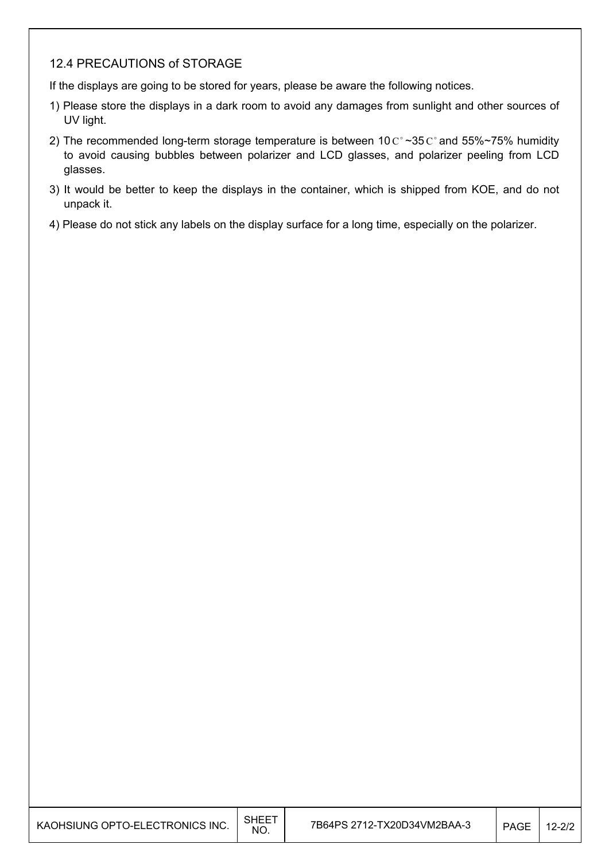#### 12.4 PRECAUTIONS of STORAGE

If the displays are going to be stored for years, please be aware the following notices.

- 1) Please store the displays in a dark room to avoid any damages from sunlight and other sources of UV light.
- 2) The recommended long-term storage temperature is between 10  $C^{\circ}$  ~35  $C^{\circ}$  and 55%~75% humidity to avoid causing bubbles between polarizer and LCD glasses, and polarizer peeling from LCD glasses.
- 3) It would be better to keep the displays in the container, which is shipped from KOE, and do not unpack it.
- 4) Please do not stick any labels on the display surface for a long time, especially on the polarizer.

| KAOHSIUNG OPTO-ELECTRONICS INC. | <b>SHEET</b><br>NO. | 7B64PS 2712-TX20D34VM2BAA-3 | <b>PAGE</b> | $12 - 2/2$ |
|---------------------------------|---------------------|-----------------------------|-------------|------------|